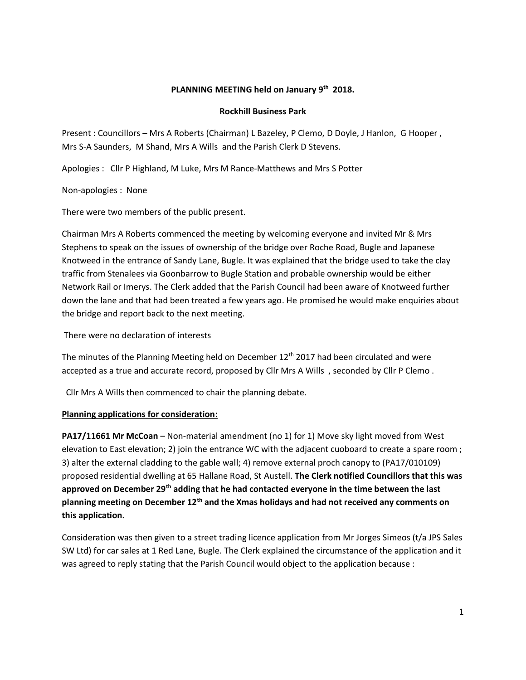## **PLANNING MEETING held on January 9th 2018.**

#### **Rockhill Business Park**

Present : Councillors – Mrs A Roberts (Chairman) L Bazeley, P Clemo, D Doyle, J Hanlon, G Hooper , Mrs S-A Saunders, M Shand, Mrs A Wills and the Parish Clerk D Stevens.

Apologies : Cllr P Highland, M Luke, Mrs M Rance-Matthews and Mrs S Potter

Non-apologies : None

There were two members of the public present.

Chairman Mrs A Roberts commenced the meeting by welcoming everyone and invited Mr & Mrs Stephens to speak on the issues of ownership of the bridge over Roche Road, Bugle and Japanese Knotweed in the entrance of Sandy Lane, Bugle. It was explained that the bridge used to take the clay traffic from Stenalees via Goonbarrow to Bugle Station and probable ownership would be either Network Rail or Imerys. The Clerk added that the Parish Council had been aware of Knotweed further down the lane and that had been treated a few years ago. He promised he would make enquiries about the bridge and report back to the next meeting.

There were no declaration of interests

The minutes of the Planning Meeting held on December  $12<sup>th</sup>$  2017 had been circulated and were accepted as a true and accurate record, proposed by Cllr Mrs A Wills , seconded by Cllr P Clemo .

Cllr Mrs A Wills then commenced to chair the planning debate.

### **Planning applications for consideration:**

**PA17/11661 Mr McCoan** – Non-material amendment (no 1) for 1) Move sky light moved from West elevation to East elevation; 2) join the entrance WC with the adjacent cuoboard to create a spare room ; 3) alter the external cladding to the gable wall; 4) remove external proch canopy to (PA17/010109) proposed residential dwelling at 65 Hallane Road, St Austell. **The Clerk notified Councillors that this was approved on December 29th adding that he had contacted everyone in the time between the last planning meeting on December 12th and the Xmas holidays and had not received any comments on this application.** 

Consideration was then given to a street trading licence application from Mr Jorges Simeos (t/a JPS Sales SW Ltd) for car sales at 1 Red Lane, Bugle. The Clerk explained the circumstance of the application and it was agreed to reply stating that the Parish Council would object to the application because :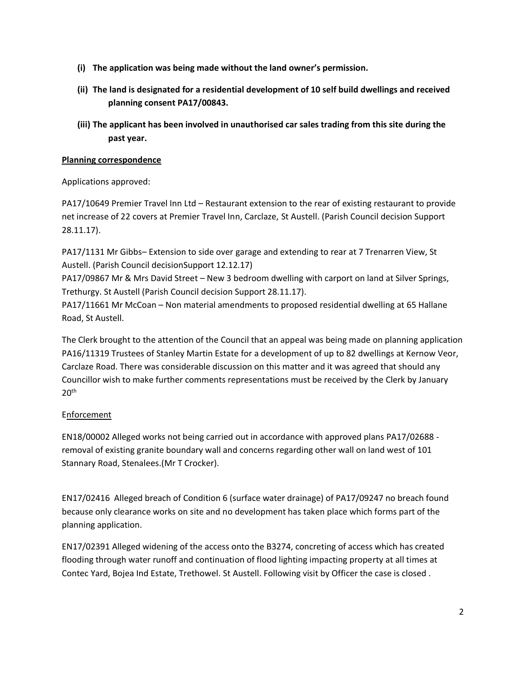- **(i) The application was being made without the land owner's permission.**
- **(ii) The land is designated for a residential development of 10 self build dwellings and received planning consent PA17/00843.**
- **(iii) The applicant has been involved in unauthorised car sales trading from this site during the past year.**

### **Planning correspondence**

Applications approved:

PA17/10649 Premier Travel Inn Ltd – Restaurant extension to the rear of existing restaurant to provide net increase of 22 covers at Premier Travel Inn, Carclaze, St Austell. (Parish Council decision Support 28.11.17).

PA17/1131 Mr Gibbs– Extension to side over garage and extending to rear at 7 Trenarren View, St Austell. (Parish Council decisionSupport 12.12.17)

PA17/09867 Mr & Mrs David Street – New 3 bedroom dwelling with carport on land at Silver Springs, Trethurgy. St Austell (Parish Council decision Support 28.11.17).

PA17/11661 Mr McCoan – Non material amendments to proposed residential dwelling at 65 Hallane Road, St Austell.

The Clerk brought to the attention of the Council that an appeal was being made on planning application PA16/11319 Trustees of Stanley Martin Estate for a development of up to 82 dwellings at Kernow Veor, Carclaze Road. There was considerable discussion on this matter and it was agreed that should any Councillor wish to make further comments representations must be received by the Clerk by January  $20<sup>th</sup>$ 

## **Enforcement**

EN18/00002 Alleged works not being carried out in accordance with approved plans PA17/02688 removal of existing granite boundary wall and concerns regarding other wall on land west of 101 Stannary Road, Stenalees.(Mr T Crocker).

EN17/02416 Alleged breach of Condition 6 (surface water drainage) of PA17/09247 no breach found because only clearance works on site and no development has taken place which forms part of the planning application.

EN17/02391 Alleged widening of the access onto the B3274, concreting of access which has created flooding through water runoff and continuation of flood lighting impacting property at all times at Contec Yard, Bojea Ind Estate, Trethowel. St Austell. Following visit by Officer the case is closed .